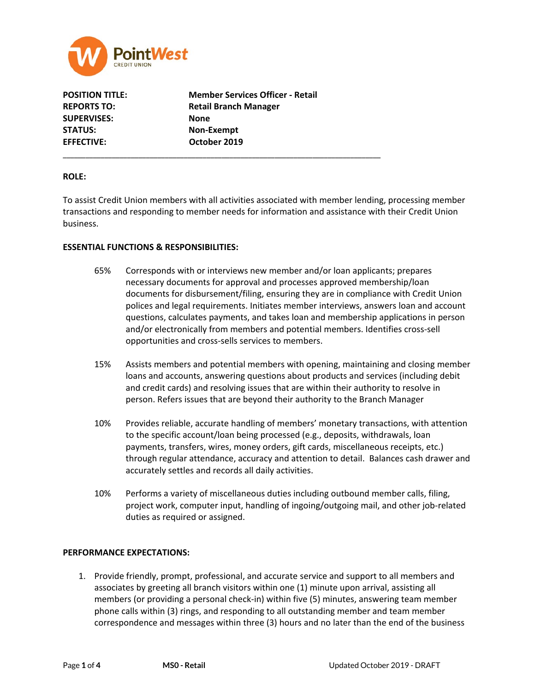

**SUPERVISES: None STATUS: Non-Exempt EFFECTIVE: October 2019**

**POSITION TITLE: Member Services Officer - Retail REPORTS TO: Retail Branch Manager**

\_\_\_\_\_\_\_\_\_\_\_\_\_\_\_\_\_\_\_\_\_\_\_\_\_\_\_\_\_\_\_\_\_\_\_\_\_\_\_\_\_\_\_\_\_\_\_\_\_\_\_\_\_\_\_\_\_\_\_\_\_\_\_\_\_\_\_\_\_\_\_\_\_\_\_\_\_\_\_\_\_\_\_\_

### **ROLE:**

To assist Credit Union members with all activities associated with member lending, processing member transactions and responding to member needs for information and assistance with their Credit Union business.

### **ESSENTIAL FUNCTIONS & RESPONSIBILITIES:**

- 65% Corresponds with or interviews new member and/or loan applicants; prepares necessary documents for approval and processes approved membership/loan documents for disbursement/filing, ensuring they are in compliance with Credit Union polices and legal requirements. Initiates member interviews, answers loan and account questions, calculates payments, and takes loan and membership applications in person and/or electronically from members and potential members. Identifies cross-sell opportunities and cross-sells services to members.
- 15% Assists members and potential members with opening, maintaining and closing member loans and accounts, answering questions about products and services (including debit and credit cards) and resolving issues that are within their authority to resolve in person. Refers issues that are beyond their authority to the Branch Manager
- 10% Provides reliable, accurate handling of members' monetary transactions, with attention to the specific account/loan being processed (e.g., deposits, withdrawals, loan payments, transfers, wires, money orders, gift cards, miscellaneous receipts, etc.) through regular attendance, accuracy and attention to detail. Balances cash drawer and accurately settles and records all daily activities.
- 10% Performs a variety of miscellaneous duties including outbound member calls, filing, project work, computer input, handling of ingoing/outgoing mail, and other job-related duties as required or assigned.

# **PERFORMANCE EXPECTATIONS:**

1. Provide friendly, prompt, professional, and accurate service and support to all members and associates by greeting all branch visitors within one (1) minute upon arrival, assisting all members (or providing a personal check-in) within five (5) minutes, answering team member phone calls within (3) rings, and responding to all outstanding member and team member correspondence and messages within three (3) hours and no later than the end of the business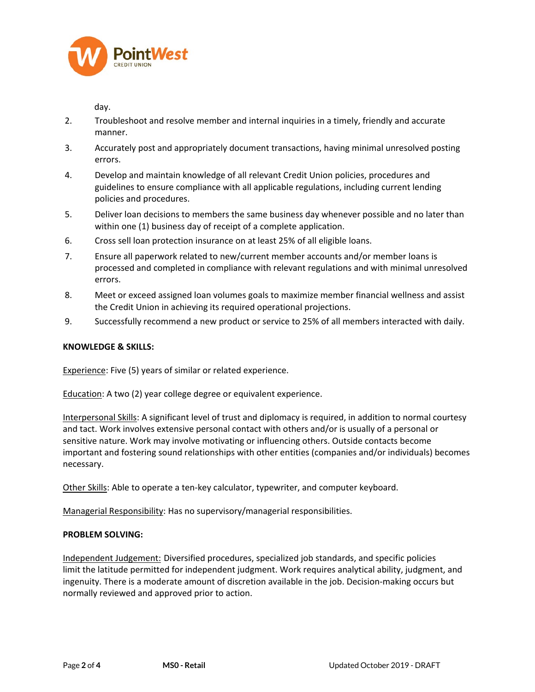

day.

- 2. Troubleshoot and resolve member and internal inquiries in a timely, friendly and accurate manner.
- 3. Accurately post and appropriately document transactions, having minimal unresolved posting errors.
- 4. Develop and maintain knowledge of all relevant Credit Union policies, procedures and guidelines to ensure compliance with all applicable regulations, including current lending policies and procedures.
- 5. Deliver loan decisions to members the same business day whenever possible and no later than within one (1) business day of receipt of a complete application.
- 6. Cross sell loan protection insurance on at least 25% of all eligible loans.
- 7. Ensure all paperwork related to new/current member accounts and/or member loans is processed and completed in compliance with relevant regulations and with minimal unresolved errors.
- 8. Meet or exceed assigned loan volumes goals to maximize member financial wellness and assist the Credit Union in achieving its required operational projections.
- 9. Successfully recommend a new product or service to 25% of all members interacted with daily.

# **KNOWLEDGE & SKILLS:**

Experience: Five (5) years of similar or related experience.

Education: A two (2) year college degree or equivalent experience.

Interpersonal Skills: A significant level of trust and diplomacy is required, in addition to normal courtesy and tact. Work involves extensive personal contact with others and/or is usually of a personal or sensitive nature. Work may involve motivating or influencing others. Outside contacts become important and fostering sound relationships with other entities (companies and/or individuals) becomes necessary.

Other Skills: Able to operate a ten-key calculator, typewriter, and computer keyboard.

Managerial Responsibility: Has no supervisory/managerial responsibilities.

# **PROBLEM SOLVING:**

Independent Judgement: Diversified procedures, specialized job standards, and specific policies limit the latitude permitted for independent judgment. Work requires analytical ability, judgment, and ingenuity. There is a moderate amount of discretion available in the job. Decision-making occurs but normally reviewed and approved prior to action.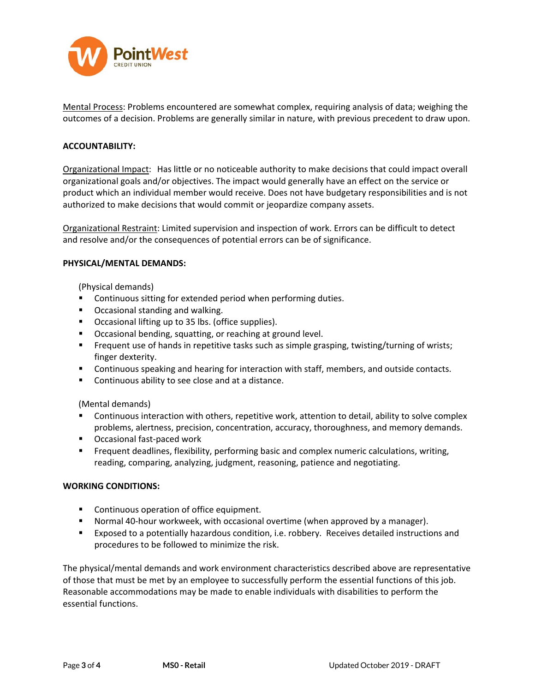

Mental Process: Problems encountered are somewhat complex, requiring analysis of data; weighing the outcomes of a decision. Problems are generally similar in nature, with previous precedent to draw upon.

# **ACCOUNTABILITY:**

Organizational Impact: Has little or no noticeable authority to make decisions that could impact overall organizational goals and/or objectives. The impact would generally have an effect on the service or product which an individual member would receive. Does not have budgetary responsibilities and is not authorized to make decisions that would commit or jeopardize company assets.

Organizational Restraint: Limited supervision and inspection of work. Errors can be difficult to detect and resolve and/or the consequences of potential errors can be of significance.

### **PHYSICAL/MENTAL DEMANDS:**

(Physical demands)

- **EXECONTERGHTM** Continuous sitting for extended period when performing duties.
- **•** Occasional standing and walking.
- **•** Occasional lifting up to 35 lbs. (office supplies).
- Occasional bending, squatting, or reaching at ground level.
- **Frequent use of hands in repetitive tasks such as simple grasping, twisting/turning of wrists;** finger dexterity.
- **Continuous speaking and hearing for interaction with staff, members, and outside contacts.**
- **EXECO** Continuous ability to see close and at a distance.

(Mental demands)

- **Continuous interaction with others, repetitive work, attention to detail, ability to solve complex** problems, alertness, precision, concentration, accuracy, thoroughness, and memory demands.
- Occasional fast-paced work
- **Figuent deadlines, flexibility, performing basic and complex numeric calculations, writing,** reading, comparing, analyzing, judgment, reasoning, patience and negotiating.

### **WORKING CONDITIONS:**

- **Continuous operation of office equipment.**
- Normal 40-hour workweek, with occasional overtime (when approved by a manager).
- Exposed to a potentially hazardous condition, i.e. robbery. Receives detailed instructions and procedures to be followed to minimize the risk.

The physical/mental demands and work environment characteristics described above are representative of those that must be met by an employee to successfully perform the essential functions of this job. Reasonable accommodations may be made to enable individuals with disabilities to perform the essential functions.